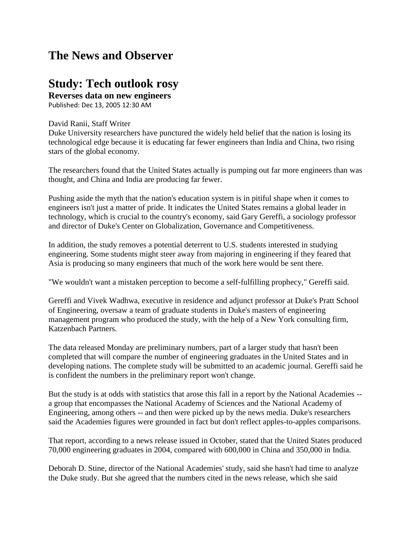## **The News and Observer**

## **Study: Tech outlook rosy**

**Reverses data on new engineers** Published: Dec 13, 2005 12:30 AM

## David Ranii, Staff Writer

Duke University researchers have punctured the widely held belief that the nation is losing its technological edge because it is educating far fewer engineers than India and China, two rising stars of the global economy.

The researchers found that the United States actually is pumping out far more engineers than was thought, and China and India are producing far fewer.

Pushing aside the myth that the nation's education system is in pitiful shape when it comes to engineers isn't just a matter of pride. It indicates the United States remains a global leader in technology, which is crucial to the country's economy, said Gary Gereffi, a sociology professor and director of Duke's Center on Globalization, Governance and Competitiveness.

In addition, the study removes a potential deterrent to U.S. students interested in studying engineering. Some students might steer away from majoring in engineering if they feared that Asia is producing so many engineers that much of the work here would be sent there.

"We wouldn't want a mistaken perception to become a self-fulfilling prophecy," Gereffi said.

Gereffi and Vivek Wadhwa, executive in residence and adjunct professor at Duke's Pratt School of Engineering, oversaw a team of graduate students in Duke's masters of engineering management program who produced the study, with the help of a New York consulting firm, Katzenbach Partners.

The data released Monday are preliminary numbers, part of a larger study that hasn't been completed that will compare the number of engineering graduates in the United States and in developing nations. The complete study will be submitted to an academic journal. Gereffi said he is confident the numbers in the preliminary report won't change.

But the study is at odds with statistics that arose this fall in a report by the National Academies - a group that encompasses the National Academy of Sciences and the National Academy of Engineering, among others -- and then were picked up by the news media. Duke's researchers said the Academies figures were grounded in fact but don't reflect apples-to-apples comparisons.

That report, according to a news release issued in October, stated that the United States produced 70,000 engineering graduates in 2004, compared with 600,000 in China and 350,000 in India.

Deborah D. Stine, director of the National Academies' study, said she hasn't had time to analyze the Duke study. But she agreed that the numbers cited in the news release, which she said